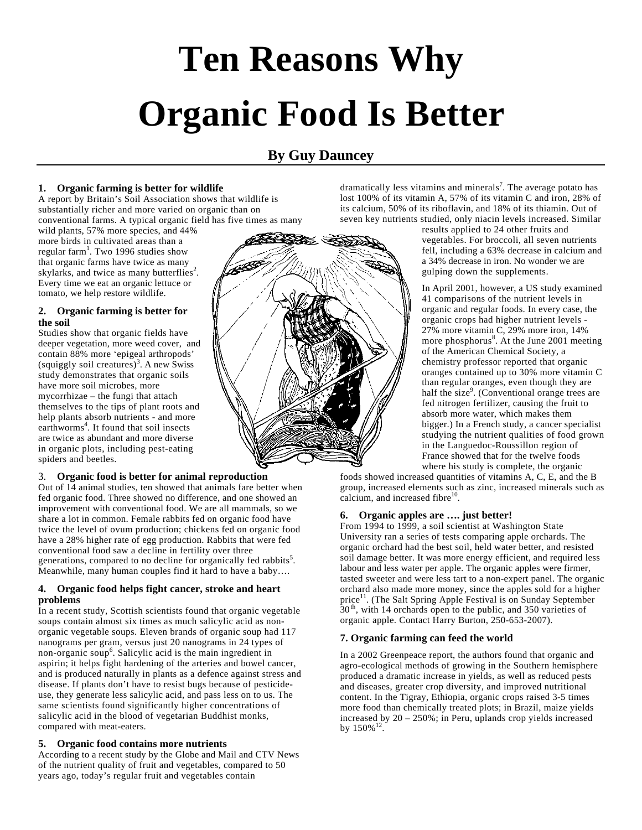# **Ten Reasons Why Organic Food Is Better**

# **By Guy Dauncey**

## **1. Organic farming is better for wildlife**

A report by Britain's Soil Association shows that wildlife is substantially richer and more varied on organic than on conventional farms. A typical organic field has five times as many

wild plants, 57% more species, and 44% more birds in cultivated areas than a regular farm<sup>1</sup>. Two 1996 studies show that organic farms have twice as many skylarks, and twice as many butterflies<sup>2</sup>. Every time we eat an organic lettuce or tomato, we help restore wildlife.

#### **2. Organic farming is better for the soil**

Studies show that organic fields have deeper vegetation, more weed cover, and contain 88% more 'epigeal arthropods' (squiggly soil creatures)<sup>3</sup>. A new Swiss study demonstrates that organic soils have more soil microbes, more mycorrhizae – the fungi that attach themselves to the tips of plant roots and help plants absorb nutrients - and more earthworms<sup>4</sup>. It found that soil insects are twice as abundant and more diverse in organic plots, including pest-eating spiders and beetles.

# 3. **Organic food is better for animal reproduction**

Out of 14 animal studies, ten showed that animals fare better when fed organic food. Three showed no difference, and one showed an improvement with conventional food. We are all mammals, so we share a lot in common. Female rabbits fed on organic food have twice the level of ovum production; chickens fed on organic food have a 28% higher rate of egg production. Rabbits that were fed conventional food saw a decline in fertility over three generations, compared to no decline for organically fed rabbits<sup>5</sup>. Meanwhile, many human couples find it hard to have a baby….

## **4. Organic food helps fight cancer, stroke and heart problems**

In a recent study, Scottish scientists found that organic vegetable soups contain almost six times as much salicylic acid as nonorganic vegetable soups. Eleven brands of organic soup had 117 nanograms per gram, versus just 20 nanograms in 24 types of non-organic soup<sup>6</sup>. Salicylic acid is the main ingredient in aspirin; it helps fight hardening of the arteries and bowel cancer, and is produced naturally in plants as a defence against stress and disease. If plants don't have to resist bugs because of pesticideuse, they generate less salicylic acid, and pass less on to us. The same scientists found significantly higher concentrations of salicylic acid in the blood of vegetarian Buddhist monks, compared with meat-eaters.

# **5. Organic food contains more nutrients**

According to a recent study by the Globe and Mail and CTV News of the nutrient quality of fruit and vegetables, compared to 50 years ago, today's regular fruit and vegetables contain

dramatically less vitamins and minerals<sup>7</sup>. The average potato has lost 100% of its vitamin A, 57% of its vitamin C and iron, 28% of its calcium, 50% of its riboflavin, and 18% of its thiamin. Out of seven key nutrients studied, only niacin levels increased. Similar

results applied to 24 other fruits and vegetables. For broccoli, all seven nutrients fell, including a 63% decrease in calcium and a 34% decrease in iron. No wonder we are gulping down the supplements.

In April 2001, however, a US study examined 41 comparisons of the nutrient levels in organic and regular foods. In every case, the organic crops had higher nutrient levels - 27% more vitamin C, 29% more iron, 14% more phosphorus<sup>8</sup>. At the June 2001 meeting of the American Chemical Society, a chemistry professor reported that organic oranges contained up to 30% more vitamin C than regular oranges, even though they are half the size<sup>9</sup>. (Conventional orange trees are fed nitrogen fertilizer, causing the fruit to absorb more water, which makes them bigger.) In a French study, a cancer specialist studying the nutrient qualities of food grown in the Languedoc-Roussillon region of France showed that for the twelve foods where his study is complete, the organic

foods showed increased quantities of vitamins A, C, E, and the B group, increased elements such as zinc, increased minerals such as calcium, and increased fibre $10$ .

# **6. Organic apples are …. just better!**

From 1994 to 1999, a soil scientist at Washington State University ran a series of tests comparing apple orchards. The organic orchard had the best soil, held water better, and resisted soil damage better. It was more energy efficient, and required less labour and less water per apple. The organic apples were firmer, tasted sweeter and were less tart to a non-expert panel. The organic orchard also made more money, since the apples sold for a higher price<sup>11</sup>. (The Salt Spring Apple Festival is on Sunday September  $30<sup>th</sup>$ , with 14 orchards open to the public, and 350 varieties of organic apple. Contact Harry Burton, 250-653-2007).

# **7. Organic farming can feed the world**

In a 2002 Greenpeace report, the authors found that organic and agro-ecological methods of growing in the Southern hemisphere produced a dramatic increase in yields, as well as reduced pests and diseases, greater crop diversity, and improved nutritional content. In the Tigray, Ethiopia, organic crops raised 3-5 times more food than chemically treated plots; in Brazil, maize yields increased by 20 – 250%; in Peru, uplands crop yields increased by  $150\%$ <sup>12</sup>.